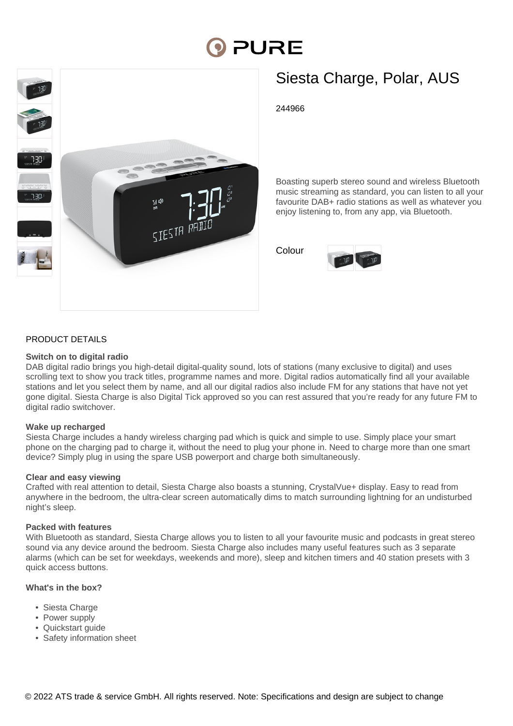# **PURE**



# Siesta Charge, Polar, AUS

244966

Boasting superb stereo sound and wireless Bluetooth music streaming as standard, you can listen to all your favourite DAB+ radio stations as well as whatever you enjoy listening to, from any app, via Bluetooth.

Colour



#### PRODUCT DETAILS

#### **Switch on to digital radio**

DAB digital radio brings you high-detail digital-quality sound, lots of stations (many exclusive to digital) and uses scrolling text to show you track titles, programme names and more. Digital radios automatically find all your available stations and let you select them by name, and all our digital radios also include FM for any stations that have not yet gone digital. Siesta Charge is also Digital Tick approved so you can rest assured that you're ready for any future FM to digital radio switchover.

#### **Wake up recharged**

Siesta Charge includes a handy wireless charging pad which is quick and simple to use. Simply place your smart phone on the charging pad to charge it, without the need to plug your phone in. Need to charge more than one smart device? Simply plug in using the spare USB powerport and charge both simultaneously.

#### **Clear and easy viewing**

Crafted with real attention to detail, Siesta Charge also boasts a stunning, CrystalVue+ display. Easy to read from anywhere in the bedroom, the ultra-clear screen automatically dims to match surrounding lightning for an undisturbed night's sleep.

#### **Packed with features**

With Bluetooth as standard, Siesta Charge allows you to listen to all your favourite music and podcasts in great stereo sound via any device around the bedroom. Siesta Charge also includes many useful features such as 3 separate alarms (which can be set for weekdays, weekends and more), sleep and kitchen timers and 40 station presets with 3 quick access buttons.

#### **What's in the box?**

- Siesta Charge
- Power supply
- Quickstart guide
- Safety information sheet